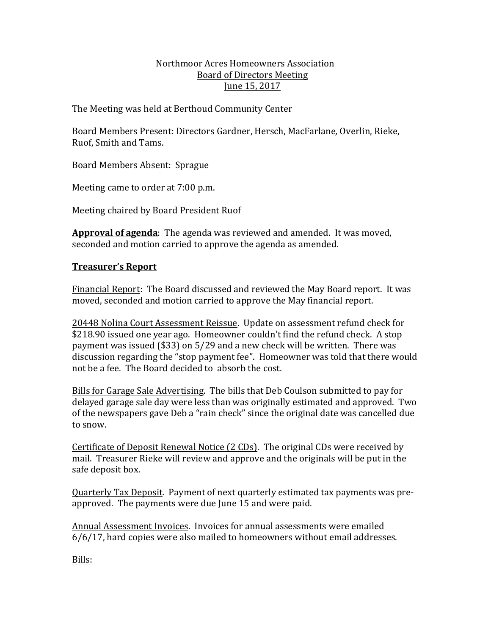#### Northmoor Acres Homeowners Association Board of Directors Meeting June 15, 2017

The Meeting was held at Berthoud Community Center

Board Members Present: Directors Gardner, Hersch, MacFarlane*,* Overlin, Rieke, Ruof, Smith and Tams.

Board Members Absent: Sprague

Meeting came to order at 7:00 p.m.

Meeting chaired by Board President Ruof

**Approval of agenda**: The agenda was reviewed and amended. It was moved, seconded and motion carried to approve the agenda as amended.

# **Treasurer's Report**

Financial Report: The Board discussed and reviewed the May Board report. It was moved, seconded and motion carried to approve the May financial report.

20448 Nolina Court Assessment Reissue. Update on assessment refund check for \$218.90 issued one year ago. Homeowner couldn't find the refund check. A stop payment was issued  $(\$33)$  on 5/29 and a new check will be written. There was discussion regarding the "stop payment fee". Homeowner was told that there would not be a fee. The Board decided to absorb the cost.

Bills for Garage Sale Advertising. The bills that Deb Coulson submitted to pay for delayed garage sale day were less than was originally estimated and approved. Two of the newspapers gave Deb a "rain check" since the original date was cancelled due to snow.

Certificate of Deposit Renewal Notice (2 CDs). The original CDs were received by mail. Treasurer Rieke will review and approve and the originals will be put in the safe deposit box.

Quarterly Tax Deposit. Payment of next quarterly estimated tax payments was preapproved. The payments were due June 15 and were paid.

Annual Assessment Invoices. Invoices for annual assessments were emailed  $6/6/17$ , hard copies were also mailed to homeowners without email addresses.

Bills: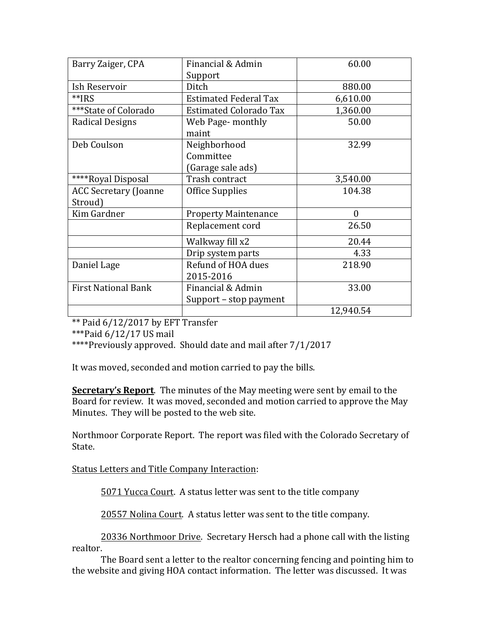| Barry Zaiger, CPA            | Financial & Admin             | 60.00     |
|------------------------------|-------------------------------|-----------|
|                              | Support                       |           |
| Ish Reservoir                | Ditch                         | 880.00    |
| **IRS                        | <b>Estimated Federal Tax</b>  | 6,610.00  |
| ***State of Colorado         | <b>Estimated Colorado Tax</b> | 1,360.00  |
| Radical Designs              | Web Page- monthly             | 50.00     |
|                              | maint                         |           |
| Deb Coulson                  | Neighborhood                  | 32.99     |
|                              | Committee                     |           |
|                              | (Garage sale ads)             |           |
| ****Royal Disposal           | Trash contract                | 3,540.00  |
| <b>ACC Secretary (Joanne</b> | Office Supplies               | 104.38    |
| Stroud)                      |                               |           |
| Kim Gardner                  | <b>Property Maintenance</b>   | $\Omega$  |
|                              | Replacement cord              | 26.50     |
|                              | Walkway fill x2               | 20.44     |
|                              | Drip system parts             | 4.33      |
| Daniel Lage                  | Refund of HOA dues            | 218.90    |
|                              | 2015-2016                     |           |
| <b>First National Bank</b>   | Financial & Admin             | 33.00     |
|                              | Support - stop payment        |           |
|                              |                               | 12,940.54 |

 $**$  Paid 6/12/2017 by EFT Transfer

\*\*\*Paid  $6/12/17$  US mail

\*\*\*\*Previously approved. Should date and mail after 7/1/2017

It was moved, seconded and motion carried to pay the bills.

**Secretary's Report**. The minutes of the May meeting were sent by email to the Board for review. It was moved, seconded and motion carried to approve the May Minutes. They will be posted to the web site.

Northmoor Corporate Report. The report was filed with the Colorado Secretary of State.

Status Letters and Title Company Interaction:

5071 Yucca Court. A status letter was sent to the title company

20557 Nolina Court. A status letter was sent to the title company.

20336 Northmoor Drive. Secretary Hersch had a phone call with the listing realtor.

The Board sent a letter to the realtor concerning fencing and pointing him to the website and giving HOA contact information. The letter was discussed. It was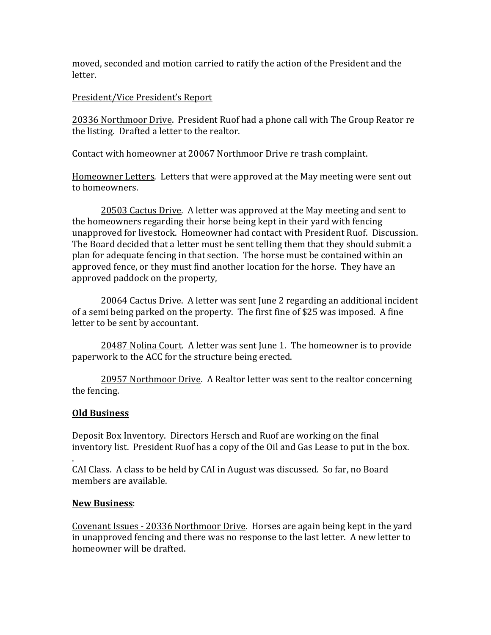moved, seconded and motion carried to ratify the action of the President and the letter.

# President/Vice President's Report

20336 Northmoor Drive. President Ruof had a phone call with The Group Reator re the listing. Drafted a letter to the realtor.

Contact with homeowner at 20067 Northmoor Drive re trash complaint.

Homeowner Letters. Letters that were approved at the May meeting were sent out to homeowners.

20503 Cactus Drive. A letter was approved at the May meeting and sent to the homeowners regarding their horse being kept in their vard with fencing unapproved for livestock. Homeowner had contact with President Ruof. Discussion. The Board decided that a letter must be sent telling them that they should submit a plan for adequate fencing in that section. The horse must be contained within an approved fence, or they must find another location for the horse. They have an approved paddock on the property,

20064 Cactus Drive. A letter was sent June 2 regarding an additional incident of a semi being parked on the property. The first fine of \$25 was imposed. A fine letter to be sent by accountant.

20487 Nolina Court. A letter was sent June 1. The homeowner is to provide paperwork to the ACC for the structure being erected.

20957 Northmoor Drive. A Realtor letter was sent to the realtor concerning the fencing.

# **Old Business**

Deposit Box Inventory. Directors Hersch and Ruof are working on the final inventory list. President Ruof has a copy of the Oil and Gas Lease to put in the box.

. CAI Class. A class to be held by CAI in August was discussed. So far, no Board members are available.

# **New Business**:

Covenant Issues - 20336 Northmoor Drive. Horses are again being kept in the yard in unapproved fencing and there was no response to the last letter. A new letter to homeowner will be drafted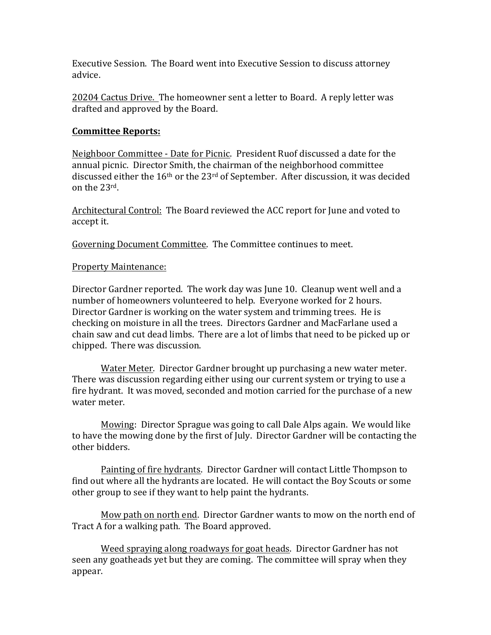Executive Session. The Board went into Executive Session to discuss attorney advice.

20204 Cactus Drive. The homeowner sent a letter to Board. A reply letter was drafted and approved by the Board.

#### **Committee Reports:**

Neighboor Committee - Date for Picnic. President Ruof discussed a date for the annual picnic. Director Smith, the chairman of the neighborhood committee discussed either the  $16<sup>th</sup>$  or the  $23<sup>rd</sup>$  of September. After discussion, it was decided on the 23rd.

Architectural Control: The Board reviewed the ACC report for June and voted to accept it.

Governing Document Committee. The Committee continues to meet.

#### **Property Maintenance:**

Director Gardner reported. The work day was June 10. Cleanup went well and a number of homeowners volunteered to help. Everyone worked for 2 hours. Director Gardner is working on the water system and trimming trees. He is checking on moisture in all the trees. Directors Gardner and MacFarlane used a chain saw and cut dead limbs. There are a lot of limbs that need to be picked up or chipped. There was discussion.

Water Meter. Director Gardner brought up purchasing a new water meter. There was discussion regarding either using our current system or trying to use a fire hydrant. It was moved, seconded and motion carried for the purchase of a new water meter.

Mowing: Director Sprague was going to call Dale Alps again. We would like to have the mowing done by the first of July. Director Gardner will be contacting the other bidders.

Painting of fire hydrants. Director Gardner will contact Little Thompson to find out where all the hydrants are located. He will contact the Boy Scouts or some other group to see if they want to help paint the hydrants.

Mow path on north end. Director Gardner wants to mow on the north end of Tract A for a walking path. The Board approved.

Weed spraying along roadways for goat heads. Director Gardner has not seen any goatheads yet but they are coming. The committee will spray when they appear.